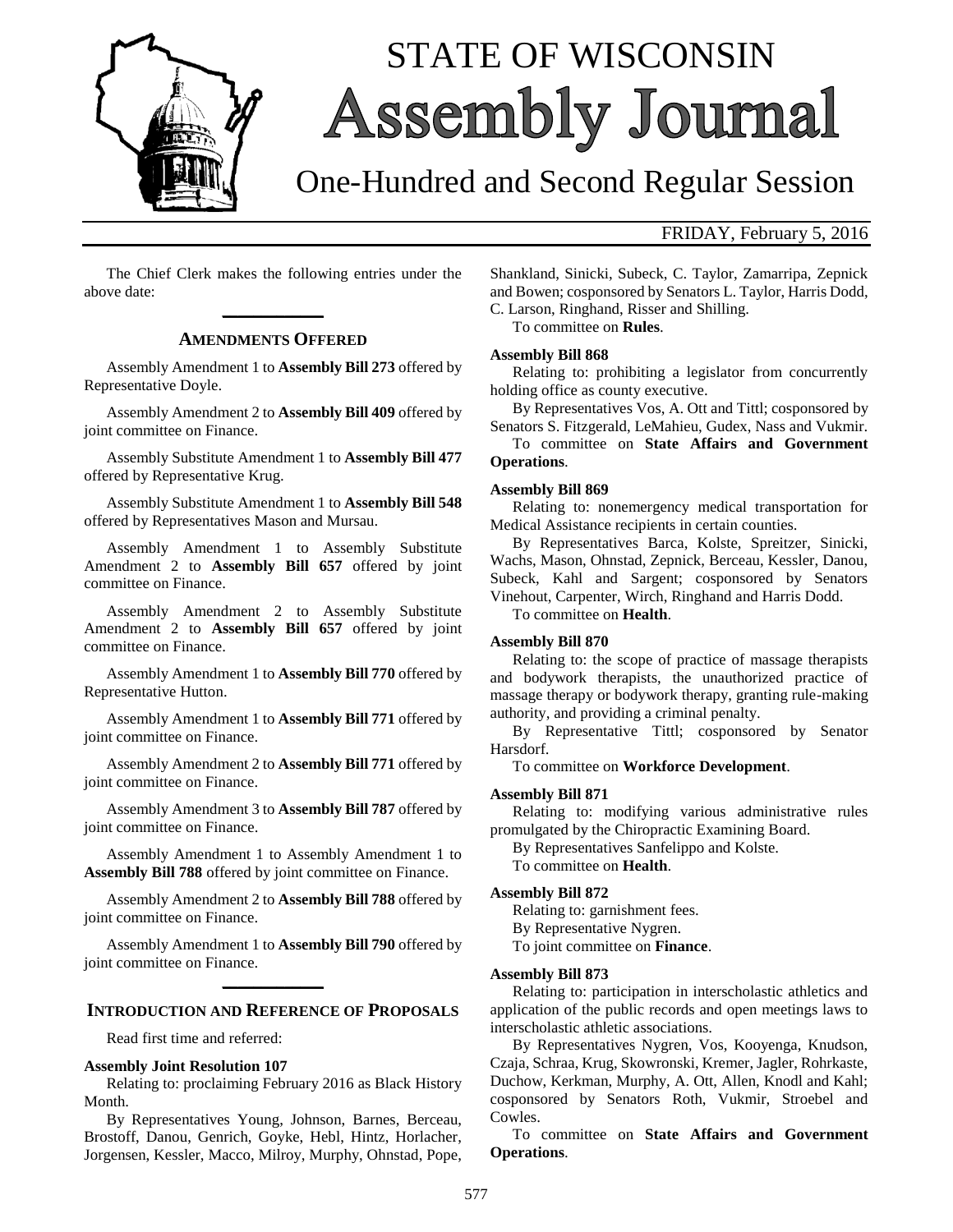

# STATE OF WISCONSIN **Assembly Journal**

## One-Hundred and Second Regular Session

#### FRIDAY, February 5, 2016

The Chief Clerk makes the following entries under the above date: **\_\_\_\_\_\_\_\_\_\_\_\_\_**

#### **AMENDMENTS OFFERED**

Assembly Amendment 1 to **Assembly Bill 273** offered by Representative Doyle.

Assembly Amendment 2 to **Assembly Bill 409** offered by joint committee on Finance.

Assembly Substitute Amendment 1 to **Assembly Bill 477** offered by Representative Krug.

Assembly Substitute Amendment 1 to **Assembly Bill 548** offered by Representatives Mason and Mursau.

Assembly Amendment 1 to Assembly Substitute Amendment 2 to **Assembly Bill 657** offered by joint committee on Finance.

Assembly Amendment 2 to Assembly Substitute Amendment 2 to **Assembly Bill 657** offered by joint committee on Finance.

Assembly Amendment 1 to **Assembly Bill 770** offered by Representative Hutton.

Assembly Amendment 1 to **Assembly Bill 771** offered by joint committee on Finance.

Assembly Amendment 2 to **Assembly Bill 771** offered by joint committee on Finance.

Assembly Amendment 3 to **Assembly Bill 787** offered by joint committee on Finance.

Assembly Amendment 1 to Assembly Amendment 1 to **Assembly Bill 788** offered by joint committee on Finance.

Assembly Amendment 2 to **Assembly Bill 788** offered by joint committee on Finance.

Assembly Amendment 1 to **Assembly Bill 790** offered by joint committee on Finance. **\_\_\_\_\_\_\_\_\_\_\_\_\_**

#### **INTRODUCTION AND REFERENCE OF PROPOSALS**

Read first time and referred:

#### **Assembly Joint Resolution 107**

Relating to: proclaiming February 2016 as Black History Month.

By Representatives Young, Johnson, Barnes, Berceau, Brostoff, Danou, Genrich, Goyke, Hebl, Hintz, Horlacher, Jorgensen, Kessler, Macco, Milroy, Murphy, Ohnstad, Pope, Shankland, Sinicki, Subeck, C. Taylor, Zamarripa, Zepnick and Bowen; cosponsored by Senators L. Taylor, Harris Dodd, C. Larson, Ringhand, Risser and Shilling.

To committee on **Rules**.

#### **Assembly Bill 868**

Relating to: prohibiting a legislator from concurrently holding office as county executive.

By Representatives Vos, A. Ott and Tittl; cosponsored by Senators S. Fitzgerald, LeMahieu, Gudex, Nass and Vukmir.

To committee on **State Affairs and Government Operations**.

#### **Assembly Bill 869**

Relating to: nonemergency medical transportation for Medical Assistance recipients in certain counties.

By Representatives Barca, Kolste, Spreitzer, Sinicki, Wachs, Mason, Ohnstad, Zepnick, Berceau, Kessler, Danou, Subeck, Kahl and Sargent; cosponsored by Senators Vinehout, Carpenter, Wirch, Ringhand and Harris Dodd.

To committee on **Health**.

#### **Assembly Bill 870**

Relating to: the scope of practice of massage therapists and bodywork therapists, the unauthorized practice of massage therapy or bodywork therapy, granting rule-making authority, and providing a criminal penalty.

By Representative Tittl; cosponsored by Senator Harsdorf.

To committee on **Workforce Development**.

#### **Assembly Bill 871**

Relating to: modifying various administrative rules promulgated by the Chiropractic Examining Board.

By Representatives Sanfelippo and Kolste.

To committee on **Health**.

#### **Assembly Bill 872**

Relating to: garnishment fees. By Representative Nygren. To joint committee on **Finance**.

#### **Assembly Bill 873**

Relating to: participation in interscholastic athletics and application of the public records and open meetings laws to interscholastic athletic associations.

By Representatives Nygren, Vos, Kooyenga, Knudson, Czaja, Schraa, Krug, Skowronski, Kremer, Jagler, Rohrkaste, Duchow, Kerkman, Murphy, A. Ott, Allen, Knodl and Kahl; cosponsored by Senators Roth, Vukmir, Stroebel and Cowles.

To committee on **State Affairs and Government Operations**.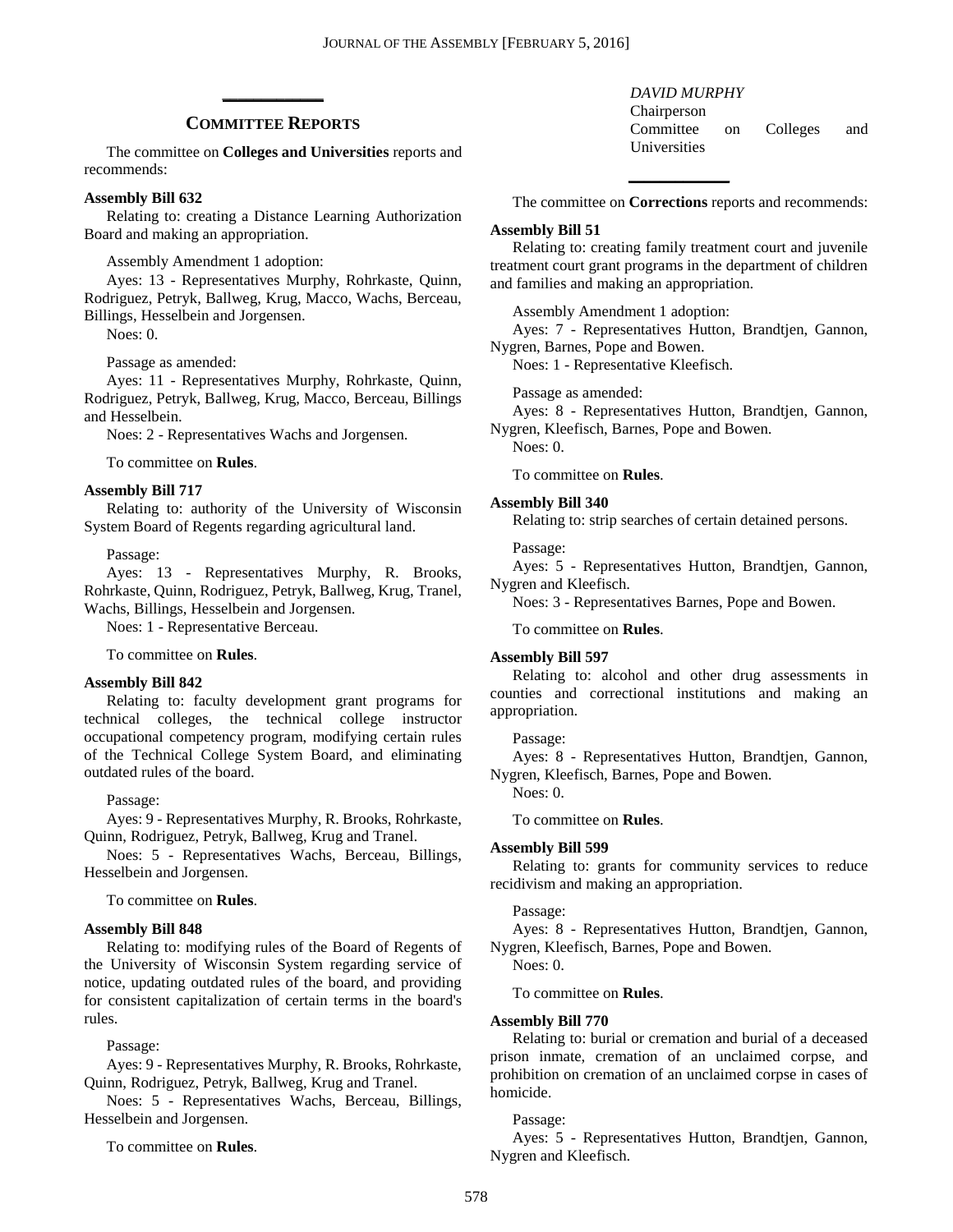## **\_\_\_\_\_\_\_\_\_\_\_\_\_ COMMITTEE REPORTS**

The committee on **Colleges and Universities** reports and recommends:

#### **Assembly Bill 632**

Relating to: creating a Distance Learning Authorization Board and making an appropriation.

Assembly Amendment 1 adoption:

Ayes: 13 - Representatives Murphy, Rohrkaste, Quinn, Rodriguez, Petryk, Ballweg, Krug, Macco, Wachs, Berceau, Billings, Hesselbein and Jorgensen.

Noes: 0.

Passage as amended:

Ayes: 11 - Representatives Murphy, Rohrkaste, Quinn, Rodriguez, Petryk, Ballweg, Krug, Macco, Berceau, Billings and Hesselbein.

Noes: 2 - Representatives Wachs and Jorgensen.

To committee on **Rules**.

#### **Assembly Bill 717**

Relating to: authority of the University of Wisconsin System Board of Regents regarding agricultural land.

Passage:

Ayes: 13 - Representatives Murphy, R. Brooks, Rohrkaste, Quinn, Rodriguez, Petryk, Ballweg, Krug, Tranel, Wachs, Billings, Hesselbein and Jorgensen.

Noes: 1 - Representative Berceau.

To committee on **Rules**.

#### **Assembly Bill 842**

Relating to: faculty development grant programs for technical colleges, the technical college instructor occupational competency program, modifying certain rules of the Technical College System Board, and eliminating outdated rules of the board.

Passage:

Ayes: 9 - Representatives Murphy, R. Brooks, Rohrkaste, Quinn, Rodriguez, Petryk, Ballweg, Krug and Tranel.

Noes: 5 - Representatives Wachs, Berceau, Billings, Hesselbein and Jorgensen.

To committee on **Rules**.

#### **Assembly Bill 848**

Relating to: modifying rules of the Board of Regents of the University of Wisconsin System regarding service of notice, updating outdated rules of the board, and providing for consistent capitalization of certain terms in the board's rules.

Passage:

Ayes: 9 - Representatives Murphy, R. Brooks, Rohrkaste, Quinn, Rodriguez, Petryk, Ballweg, Krug and Tranel.

Noes: 5 - Representatives Wachs, Berceau, Billings, Hesselbein and Jorgensen.

To committee on **Rules**.

#### *DAVID MURPHY*

Chairperson Committee on Colleges and Universities

The committee on **Corrections** reports and recommends:

**\_\_\_\_\_\_\_\_\_\_\_\_\_**

#### **Assembly Bill 51**

Relating to: creating family treatment court and juvenile treatment court grant programs in the department of children and families and making an appropriation.

Assembly Amendment 1 adoption:

Ayes: 7 - Representatives Hutton, Brandtjen, Gannon, Nygren, Barnes, Pope and Bowen.

Noes: 1 - Representative Kleefisch.

Passage as amended:

Ayes: 8 - Representatives Hutton, Brandtjen, Gannon, Nygren, Kleefisch, Barnes, Pope and Bowen.

Noes: 0.

To committee on **Rules**.

#### **Assembly Bill 340**

Relating to: strip searches of certain detained persons.

Passage:

Ayes: 5 - Representatives Hutton, Brandtjen, Gannon, Nygren and Kleefisch.

Noes: 3 - Representatives Barnes, Pope and Bowen.

To committee on **Rules**.

#### **Assembly Bill 597**

Relating to: alcohol and other drug assessments in counties and correctional institutions and making an appropriation.

#### Passage:

Ayes: 8 - Representatives Hutton, Brandtjen, Gannon, Nygren, Kleefisch, Barnes, Pope and Bowen.

Noes: 0.

To committee on **Rules**.

#### **Assembly Bill 599**

Relating to: grants for community services to reduce recidivism and making an appropriation.

#### Passage:

Ayes: 8 - Representatives Hutton, Brandtjen, Gannon, Nygren, Kleefisch, Barnes, Pope and Bowen.

Noes: 0.

To committee on **Rules**.

#### **Assembly Bill 770**

Relating to: burial or cremation and burial of a deceased prison inmate, cremation of an unclaimed corpse, and prohibition on cremation of an unclaimed corpse in cases of homicide.

Passage:

Ayes: 5 - Representatives Hutton, Brandtjen, Gannon, Nygren and Kleefisch.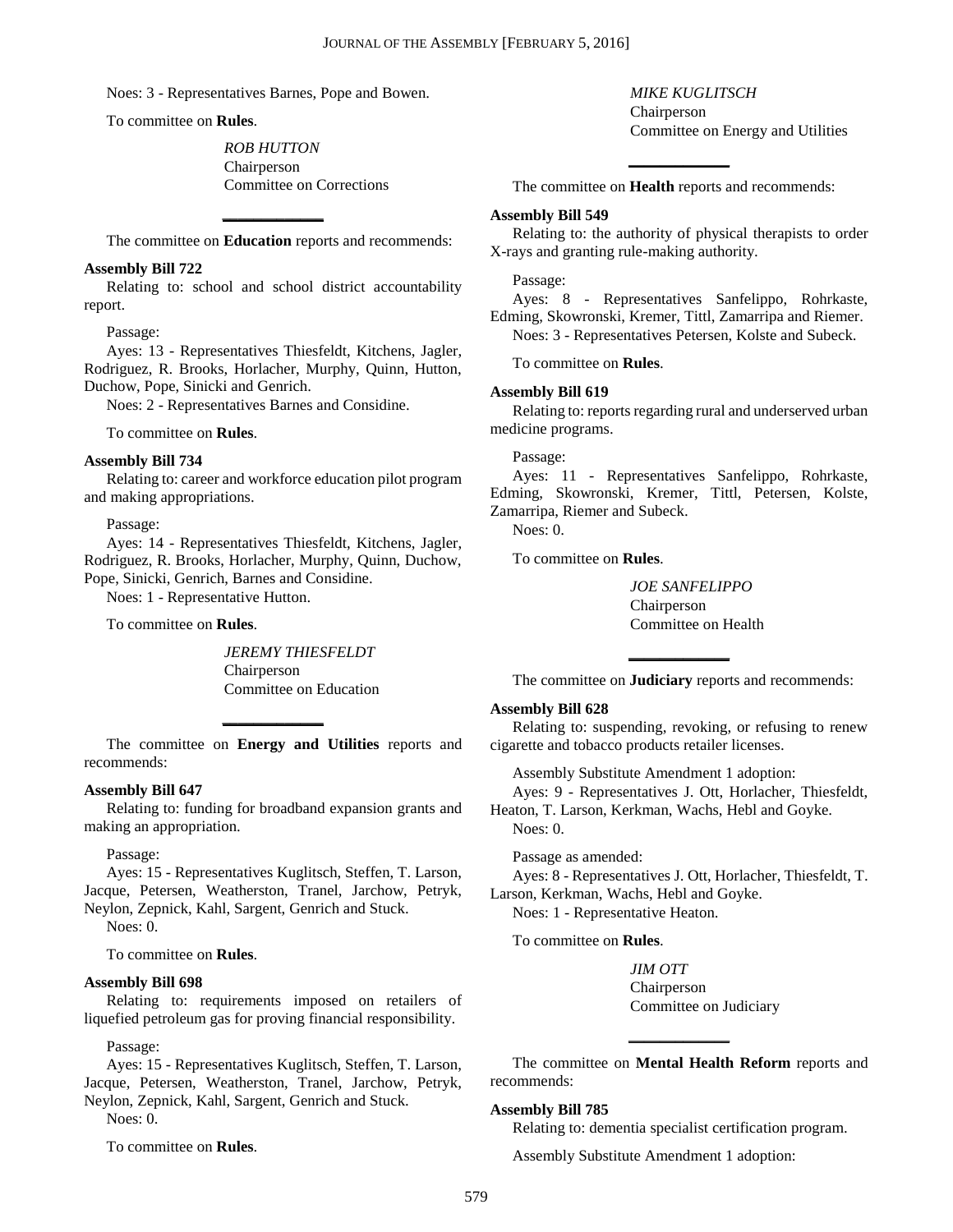Noes: 3 - Representatives Barnes, Pope and Bowen.

To committee on **Rules**.

*ROB HUTTON* Chairperson Committee on Corrections

**\_\_\_\_\_\_\_\_\_\_\_\_\_** The committee on **Education** reports and recommends:

#### **Assembly Bill 722**

Relating to: school and school district accountability report.

Passage:

Ayes: 13 - Representatives Thiesfeldt, Kitchens, Jagler, Rodriguez, R. Brooks, Horlacher, Murphy, Quinn, Hutton, Duchow, Pope, Sinicki and Genrich.

Noes: 2 - Representatives Barnes and Considine.

To committee on **Rules**.

#### **Assembly Bill 734**

Relating to: career and workforce education pilot program and making appropriations.

Passage:

Ayes: 14 - Representatives Thiesfeldt, Kitchens, Jagler, Rodriguez, R. Brooks, Horlacher, Murphy, Quinn, Duchow, Pope, Sinicki, Genrich, Barnes and Considine.

Noes: 1 - Representative Hutton.

To committee on **Rules**.

*JEREMY THIESFELDT* **Chairperson** Committee on Education

The committee on **Energy and Utilities** reports and recommends:

**\_\_\_\_\_\_\_\_\_\_\_\_\_**

#### **Assembly Bill 647**

Relating to: funding for broadband expansion grants and making an appropriation.

#### Passage:

Ayes: 15 - Representatives Kuglitsch, Steffen, T. Larson, Jacque, Petersen, Weatherston, Tranel, Jarchow, Petryk, Neylon, Zepnick, Kahl, Sargent, Genrich and Stuck.

Noes: 0.

To committee on **Rules**.

#### **Assembly Bill 698**

Relating to: requirements imposed on retailers of liquefied petroleum gas for proving financial responsibility.

#### Passage:

Ayes: 15 - Representatives Kuglitsch, Steffen, T. Larson, Jacque, Petersen, Weatherston, Tranel, Jarchow, Petryk, Neylon, Zepnick, Kahl, Sargent, Genrich and Stuck.

Noes: 0.

To committee on **Rules**.

*MIKE KUGLITSCH* Chairperson Committee on Energy and Utilities

**\_\_\_\_\_\_\_\_\_\_\_\_\_** The committee on **Health** reports and recommends:

#### **Assembly Bill 549**

Relating to: the authority of physical therapists to order X-rays and granting rule-making authority.

#### Passage:

Ayes: 8 - Representatives Sanfelippo, Rohrkaste, Edming, Skowronski, Kremer, Tittl, Zamarripa and Riemer. Noes: 3 - Representatives Petersen, Kolste and Subeck.

To committee on **Rules**.

#### **Assembly Bill 619**

Relating to: reports regarding rural and underserved urban medicine programs.

Passage:

Ayes: 11 - Representatives Sanfelippo, Rohrkaste, Edming, Skowronski, Kremer, Tittl, Petersen, Kolste, Zamarripa, Riemer and Subeck.

Noes: 0.

To committee on **Rules**.

*JOE SANFELIPPO* Chairperson Committee on Health

**\_\_\_\_\_\_\_\_\_\_\_\_\_** The committee on **Judiciary** reports and recommends:

#### **Assembly Bill 628**

Relating to: suspending, revoking, or refusing to renew cigarette and tobacco products retailer licenses.

Assembly Substitute Amendment 1 adoption:

Ayes: 9 - Representatives J. Ott, Horlacher, Thiesfeldt, Heaton, T. Larson, Kerkman, Wachs, Hebl and Goyke. Noes: 0.

Passage as amended:

Ayes: 8 - Representatives J. Ott, Horlacher, Thiesfeldt, T. Larson, Kerkman, Wachs, Hebl and Goyke.

Noes: 1 - Representative Heaton.

To committee on **Rules**.

*JIM OTT* Chairperson Committee on Judiciary

The committee on **Mental Health Reform** reports and recommends:

**\_\_\_\_\_\_\_\_\_\_\_\_\_**

#### **Assembly Bill 785**

Relating to: dementia specialist certification program.

Assembly Substitute Amendment 1 adoption: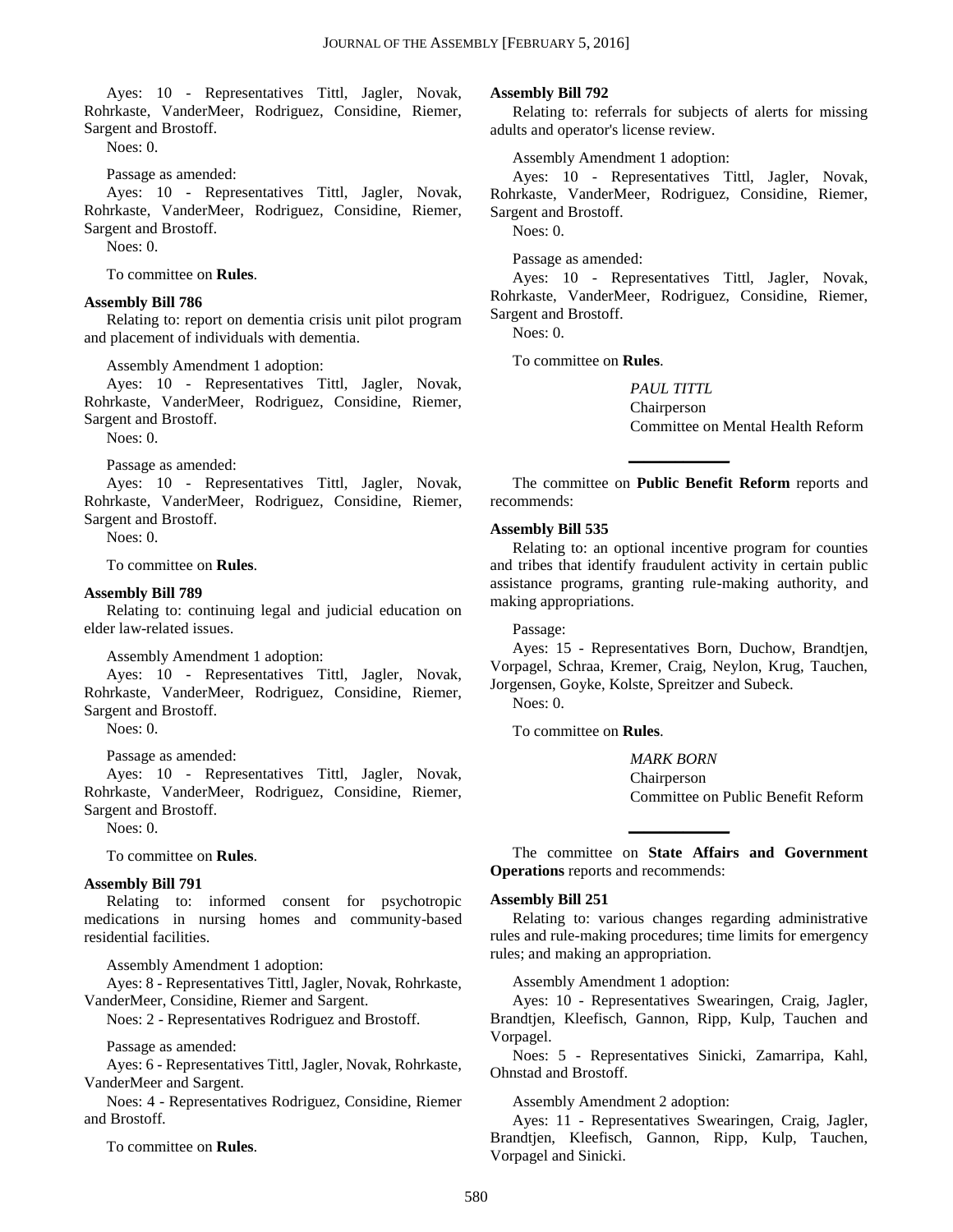Ayes: 10 - Representatives Tittl, Jagler, Novak, Rohrkaste, VanderMeer, Rodriguez, Considine, Riemer, Sargent and Brostoff.

Noes: 0.

Passage as amended:

Ayes: 10 - Representatives Tittl, Jagler, Novak, Rohrkaste, VanderMeer, Rodriguez, Considine, Riemer, Sargent and Brostoff.

Noes: 0.

To committee on **Rules**.

#### **Assembly Bill 786**

Relating to: report on dementia crisis unit pilot program and placement of individuals with dementia.

Assembly Amendment 1 adoption:

Ayes: 10 - Representatives Tittl, Jagler, Novak, Rohrkaste, VanderMeer, Rodriguez, Considine, Riemer, Sargent and Brostoff.

Noes: 0.

#### Passage as amended:

Ayes: 10 - Representatives Tittl, Jagler, Novak, Rohrkaste, VanderMeer, Rodriguez, Considine, Riemer, Sargent and Brostoff.

Noes: 0.

To committee on **Rules**.

#### **Assembly Bill 789**

Relating to: continuing legal and judicial education on elder law-related issues.

Assembly Amendment 1 adoption:

Ayes: 10 - Representatives Tittl, Jagler, Novak, Rohrkaste, VanderMeer, Rodriguez, Considine, Riemer, Sargent and Brostoff.

Noes: 0.

Passage as amended:

Ayes: 10 - Representatives Tittl, Jagler, Novak, Rohrkaste, VanderMeer, Rodriguez, Considine, Riemer, Sargent and Brostoff.

Noes: 0.

To committee on **Rules**.

#### **Assembly Bill 791**

Relating to: informed consent for psychotropic medications in nursing homes and community-based residential facilities.

Assembly Amendment 1 adoption:

Ayes: 8 - Representatives Tittl, Jagler, Novak, Rohrkaste, VanderMeer, Considine, Riemer and Sargent.

Noes: 2 - Representatives Rodriguez and Brostoff.

Passage as amended:

Ayes: 6 - Representatives Tittl, Jagler, Novak, Rohrkaste, VanderMeer and Sargent.

Noes: 4 - Representatives Rodriguez, Considine, Riemer and Brostoff.

To committee on **Rules**.

#### **Assembly Bill 792**

Relating to: referrals for subjects of alerts for missing adults and operator's license review.

Assembly Amendment 1 adoption:

Ayes: 10 - Representatives Tittl, Jagler, Novak, Rohrkaste, VanderMeer, Rodriguez, Considine, Riemer, Sargent and Brostoff.

Noes: 0.

Passage as amended:

Ayes: 10 - Representatives Tittl, Jagler, Novak, Rohrkaste, VanderMeer, Rodriguez, Considine, Riemer, Sargent and Brostoff.

Noes: 0.

To committee on **Rules**.

*PAUL TITTL* Chairperson Committee on Mental Health Reform

The committee on **Public Benefit Reform** reports and recommends:

**\_\_\_\_\_\_\_\_\_\_\_\_\_**

#### **Assembly Bill 535**

Relating to: an optional incentive program for counties and tribes that identify fraudulent activity in certain public assistance programs, granting rule-making authority, and making appropriations.

Passage:

Ayes: 15 - Representatives Born, Duchow, Brandtjen, Vorpagel, Schraa, Kremer, Craig, Neylon, Krug, Tauchen, Jorgensen, Goyke, Kolste, Spreitzer and Subeck.

Noes: 0.

To committee on **Rules**.

*MARK BORN* Chairperson Committee on Public Benefit Reform

The committee on **State Affairs and Government Operations** reports and recommends:

**\_\_\_\_\_\_\_\_\_\_\_\_\_**

#### **Assembly Bill 251**

Relating to: various changes regarding administrative rules and rule-making procedures; time limits for emergency rules; and making an appropriation.

Assembly Amendment 1 adoption:

Ayes: 10 - Representatives Swearingen, Craig, Jagler, Brandtjen, Kleefisch, Gannon, Ripp, Kulp, Tauchen and Vorpagel.

Noes: 5 - Representatives Sinicki, Zamarripa, Kahl, Ohnstad and Brostoff.

Assembly Amendment 2 adoption:

Ayes: 11 - Representatives Swearingen, Craig, Jagler, Brandtjen, Kleefisch, Gannon, Ripp, Kulp, Tauchen, Vorpagel and Sinicki.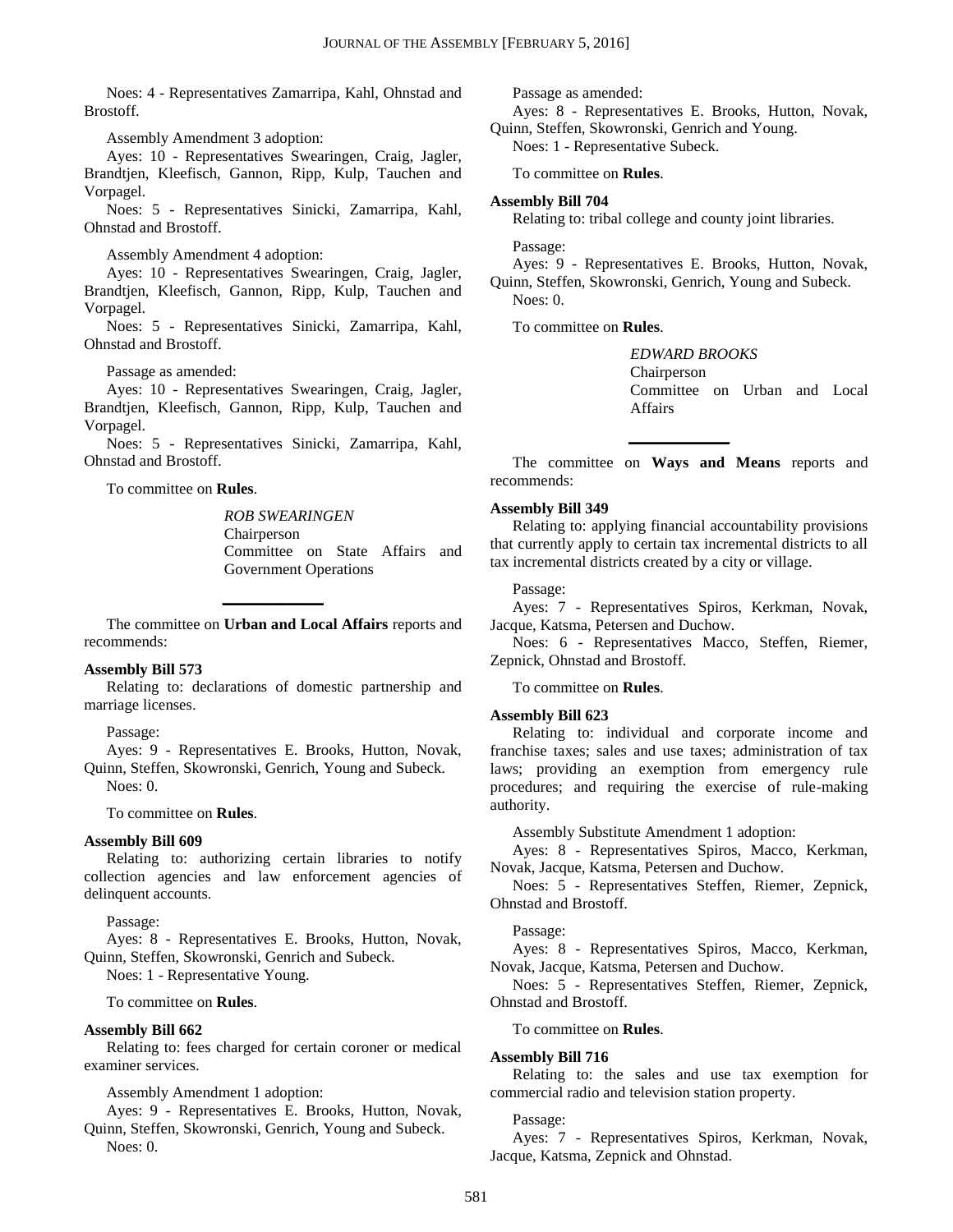Noes: 4 - Representatives Zamarripa, Kahl, Ohnstad and Brostoff.

Assembly Amendment 3 adoption:

Ayes: 10 - Representatives Swearingen, Craig, Jagler, Brandtjen, Kleefisch, Gannon, Ripp, Kulp, Tauchen and Vorpagel.

Noes: 5 - Representatives Sinicki, Zamarripa, Kahl, Ohnstad and Brostoff.

Assembly Amendment 4 adoption:

Ayes: 10 - Representatives Swearingen, Craig, Jagler, Brandtjen, Kleefisch, Gannon, Ripp, Kulp, Tauchen and Vorpagel.

Noes: 5 - Representatives Sinicki, Zamarripa, Kahl, Ohnstad and Brostoff.

Passage as amended:

Ayes: 10 - Representatives Swearingen, Craig, Jagler, Brandtjen, Kleefisch, Gannon, Ripp, Kulp, Tauchen and Vorpagel.

Noes: 5 - Representatives Sinicki, Zamarripa, Kahl, Ohnstad and Brostoff.

To committee on **Rules**.

*ROB SWEARINGEN* Chairperson Committee on State Affairs and Government Operations

The committee on **Urban and Local Affairs** reports and recommends:

**\_\_\_\_\_\_\_\_\_\_\_\_\_**

#### **Assembly Bill 573**

Relating to: declarations of domestic partnership and marriage licenses.

Passage:

Ayes: 9 - Representatives E. Brooks, Hutton, Novak, Quinn, Steffen, Skowronski, Genrich, Young and Subeck. Noes: 0.

To committee on **Rules**.

#### **Assembly Bill 609**

Relating to: authorizing certain libraries to notify collection agencies and law enforcement agencies of delinquent accounts.

Passage:

Ayes: 8 - Representatives E. Brooks, Hutton, Novak, Quinn, Steffen, Skowronski, Genrich and Subeck.

Noes: 1 - Representative Young.

To committee on **Rules**.

#### **Assembly Bill 662**

Relating to: fees charged for certain coroner or medical examiner services.

Assembly Amendment 1 adoption:

Ayes: 9 - Representatives E. Brooks, Hutton, Novak, Quinn, Steffen, Skowronski, Genrich, Young and Subeck. Noes: 0.

Passage as amended:

Ayes: 8 - Representatives E. Brooks, Hutton, Novak, Quinn, Steffen, Skowronski, Genrich and Young.

Noes: 1 - Representative Subeck.

To committee on **Rules**.

#### **Assembly Bill 704**

Relating to: tribal college and county joint libraries.

Passage:

Ayes: 9 - Representatives E. Brooks, Hutton, Novak, Quinn, Steffen, Skowronski, Genrich, Young and Subeck. Noes: 0.

To committee on **Rules**.

*EDWARD BROOKS* Chairperson Committee on Urban and Local Affairs

The committee on **Ways and Means** reports and recommends:

**\_\_\_\_\_\_\_\_\_\_\_\_\_**

#### **Assembly Bill 349**

Relating to: applying financial accountability provisions that currently apply to certain tax incremental districts to all tax incremental districts created by a city or village.

#### Passage:

Ayes: 7 - Representatives Spiros, Kerkman, Novak, Jacque, Katsma, Petersen and Duchow.

Noes: 6 - Representatives Macco, Steffen, Riemer, Zepnick, Ohnstad and Brostoff.

To committee on **Rules**.

#### **Assembly Bill 623**

Relating to: individual and corporate income and franchise taxes; sales and use taxes; administration of tax laws; providing an exemption from emergency rule procedures; and requiring the exercise of rule-making authority.

Assembly Substitute Amendment 1 adoption:

Ayes: 8 - Representatives Spiros, Macco, Kerkman, Novak, Jacque, Katsma, Petersen and Duchow.

Noes: 5 - Representatives Steffen, Riemer, Zepnick, Ohnstad and Brostoff.

#### Passage:

Ayes: 8 - Representatives Spiros, Macco, Kerkman, Novak, Jacque, Katsma, Petersen and Duchow.

Noes: 5 - Representatives Steffen, Riemer, Zepnick, Ohnstad and Brostoff.

#### To committee on **Rules**.

#### **Assembly Bill 716**

Relating to: the sales and use tax exemption for commercial radio and television station property.

#### Passage:

Ayes: 7 - Representatives Spiros, Kerkman, Novak, Jacque, Katsma, Zepnick and Ohnstad.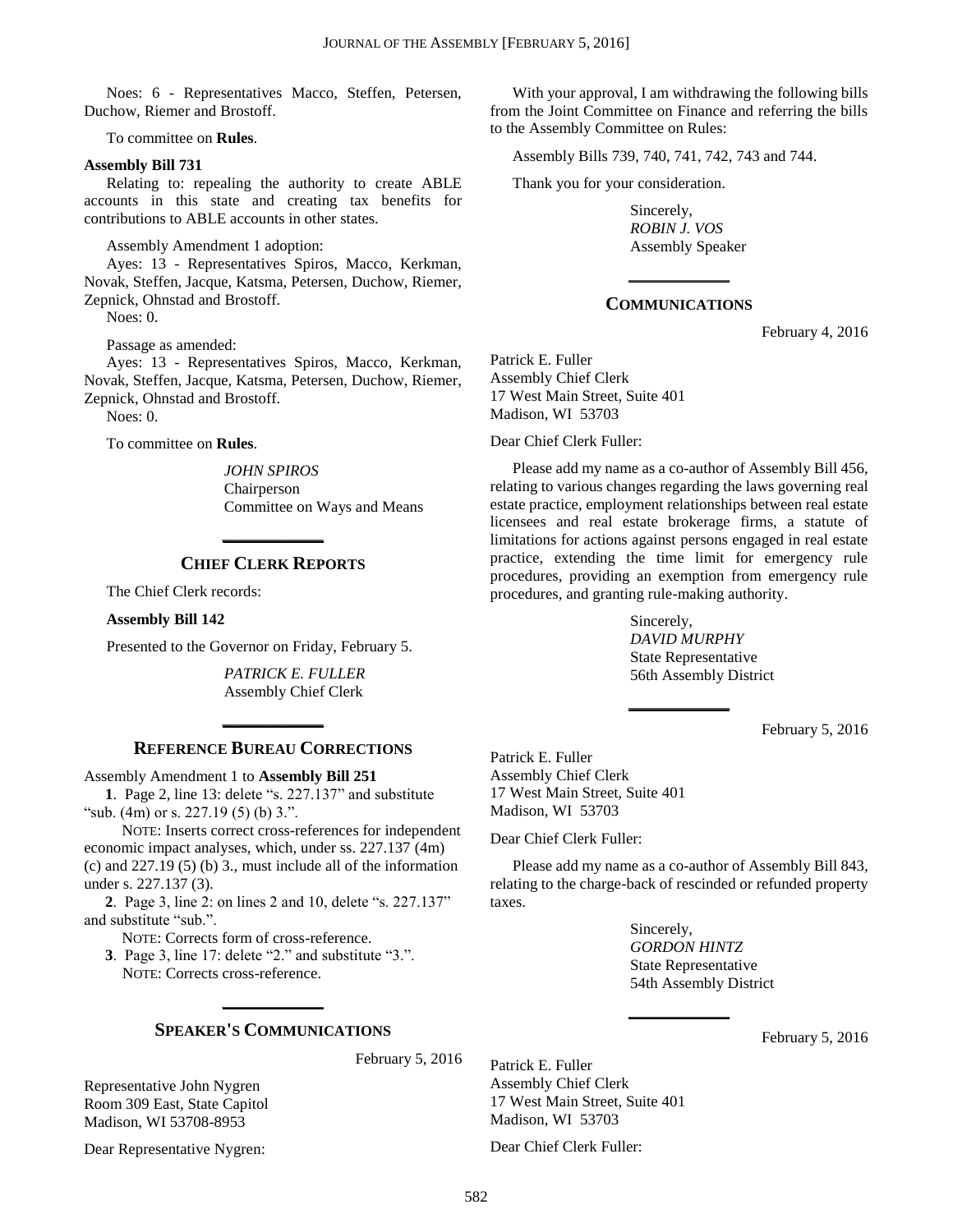Noes: 6 - Representatives Macco, Steffen, Petersen, Duchow, Riemer and Brostoff.

To committee on **Rules**.

#### **Assembly Bill 731**

Relating to: repealing the authority to create ABLE accounts in this state and creating tax benefits for contributions to ABLE accounts in other states.

Assembly Amendment 1 adoption:

Ayes: 13 - Representatives Spiros, Macco, Kerkman, Novak, Steffen, Jacque, Katsma, Petersen, Duchow, Riemer, Zepnick, Ohnstad and Brostoff.

Noes: 0.

Passage as amended:

Ayes: 13 - Representatives Spiros, Macco, Kerkman, Novak, Steffen, Jacque, Katsma, Petersen, Duchow, Riemer, Zepnick, Ohnstad and Brostoff.

Noes: 0.

To committee on **Rules**.

*JOHN SPIROS* Chairperson Committee on Ways and Means

## **\_\_\_\_\_\_\_\_\_\_\_\_\_ CHIEF CLERK REPORTS**

The Chief Clerk records:

**Assembly Bill 142**

Presented to the Governor on Friday, February 5.

*PATRICK E. FULLER* Assembly Chief Clerk

### **\_\_\_\_\_\_\_\_\_\_\_\_\_ REFERENCE BUREAU CORRECTIONS**

Assembly Amendment 1 to **Assembly Bill 251**

**1**. Page 2, line 13: delete "s. 227.137" and substitute "sub. (4m) or s. 227.19 (5) (b) 3.".

NOTE: Inserts correct cross-references for independent economic impact analyses, which, under ss. 227.137 (4m) (c) and  $227.19$  (5) (b) 3., must include all of the information under s. 227.137 (3).

**2**. Page 3, line 2: on lines 2 and 10, delete "s. 227.137" and substitute "sub.".

NOTE: Corrects form of cross-reference.

**3**. Page 3, line 17: delete "2." and substitute "3.". NOTE: Corrects cross-reference.

## **\_\_\_\_\_\_\_\_\_\_\_\_\_ SPEAKER'S COMMUNICATIONS**

February 5, 2016

Representative John Nygren Room 309 East, State Capitol Madison, WI 53708-8953

Dear Representative Nygren:

With your approval, I am withdrawing the following bills from the Joint Committee on Finance and referring the bills to the Assembly Committee on Rules:

Assembly Bills 739, 740, 741, 742, 743 and 744.

Thank you for your consideration.

Sincerely, *ROBIN J. VOS* Assembly Speaker

## **\_\_\_\_\_\_\_\_\_\_\_\_\_ COMMUNICATIONS**

February 4, 2016

Patrick E. Fuller Assembly Chief Clerk 17 West Main Street, Suite 401 Madison, WI 53703

Dear Chief Clerk Fuller:

Please add my name as a co-author of Assembly Bill 456, relating to various changes regarding the laws governing real estate practice, employment relationships between real estate licensees and real estate brokerage firms, a statute of limitations for actions against persons engaged in real estate practice, extending the time limit for emergency rule procedures, providing an exemption from emergency rule procedures, and granting rule-making authority.

> Sincerely, *DAVID MURPHY* State Representative 56th Assembly District

**\_\_\_\_\_\_\_\_\_\_\_\_\_**

February 5, 2016

Patrick E. Fuller Assembly Chief Clerk 17 West Main Street, Suite 401 Madison, WI 53703

Dear Chief Clerk Fuller:

Please add my name as a co-author of Assembly Bill 843, relating to the charge-back of rescinded or refunded property taxes.

**\_\_\_\_\_\_\_\_\_\_\_\_\_**

Sincerely, *GORDON HINTZ* State Representative 54th Assembly District

February 5, 2016

Patrick E. Fuller Assembly Chief Clerk 17 West Main Street, Suite 401 Madison, WI 53703

Dear Chief Clerk Fuller: